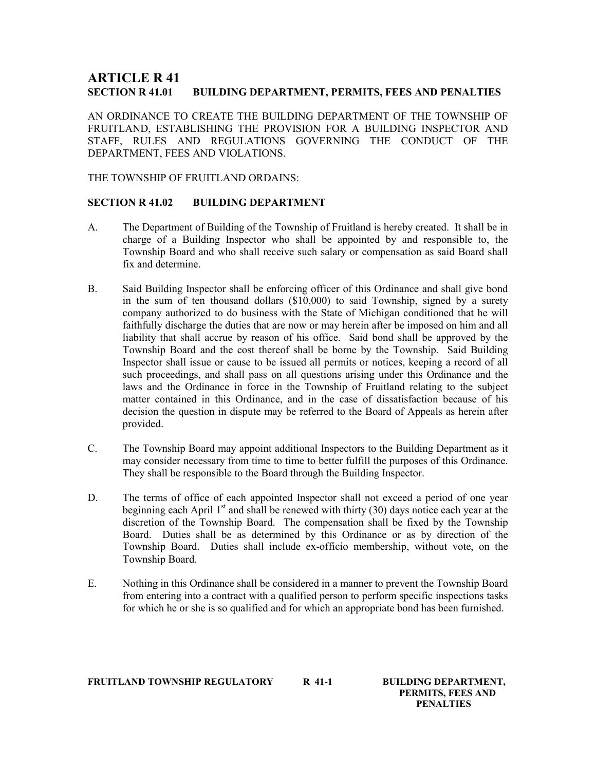# ARTICLE R 41 SECTION R 41.01 BUILDING DEPARTMENT, PERMITS, FEES AND PENALTIES

AN ORDINANCE TO CREATE THE BUILDING DEPARTMENT OF THE TOWNSHIP OF FRUITLAND, ESTABLISHING THE PROVISION FOR A BUILDING INSPECTOR AND STAFF, RULES AND REGULATIONS GOVERNING THE CONDUCT OF THE DEPARTMENT, FEES AND VIOLATIONS.

THE TOWNSHIP OF FRUITLAND ORDAINS:

## SECTION R 41.02 BUILDING DEPARTMENT

- A. The Department of Building of the Township of Fruitland is hereby created. It shall be in charge of a Building Inspector who shall be appointed by and responsible to, the Township Board and who shall receive such salary or compensation as said Board shall fix and determine.
- B. Said Building Inspector shall be enforcing officer of this Ordinance and shall give bond in the sum of ten thousand dollars (\$10,000) to said Township, signed by a surety company authorized to do business with the State of Michigan conditioned that he will faithfully discharge the duties that are now or may herein after be imposed on him and all liability that shall accrue by reason of his office. Said bond shall be approved by the Township Board and the cost thereof shall be borne by the Township. Said Building Inspector shall issue or cause to be issued all permits or notices, keeping a record of all such proceedings, and shall pass on all questions arising under this Ordinance and the laws and the Ordinance in force in the Township of Fruitland relating to the subject matter contained in this Ordinance, and in the case of dissatisfaction because of his decision the question in dispute may be referred to the Board of Appeals as herein after provided.
- C. The Township Board may appoint additional Inspectors to the Building Department as it may consider necessary from time to time to better fulfill the purposes of this Ordinance. They shall be responsible to the Board through the Building Inspector.
- D. The terms of office of each appointed Inspector shall not exceed a period of one year beginning each April  $1<sup>st</sup>$  and shall be renewed with thirty (30) days notice each year at the discretion of the Township Board. The compensation shall be fixed by the Township Board. Duties shall be as determined by this Ordinance or as by direction of the Township Board. Duties shall include ex-officio membership, without vote, on the Township Board.
- E. Nothing in this Ordinance shall be considered in a manner to prevent the Township Board from entering into a contract with a qualified person to perform specific inspections tasks for which he or she is so qualified and for which an appropriate bond has been furnished.

FRUITLAND TOWNSHIP REGULATORY R 41-1 BUILDING DEPARTMENT,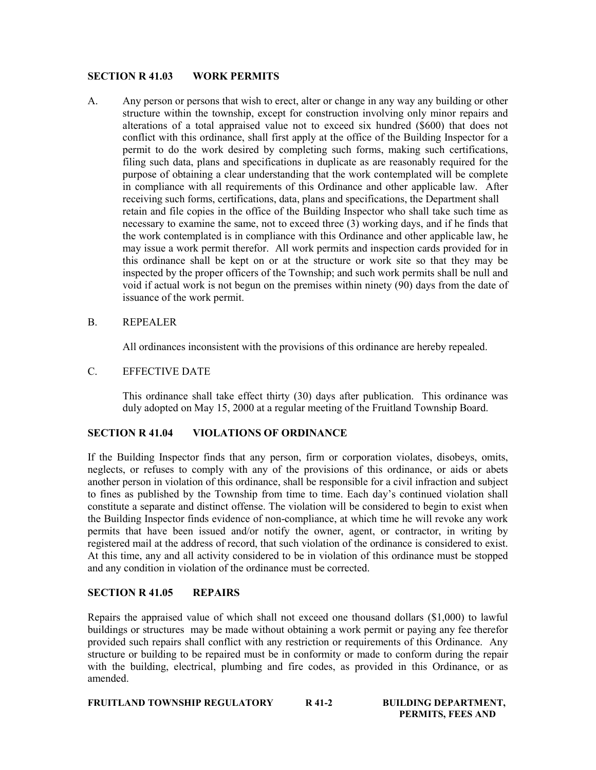## SECTION R 41.03 WORK PERMITS

A. Any person or persons that wish to erect, alter or change in any way any building or other structure within the township, except for construction involving only minor repairs and alterations of a total appraised value not to exceed six hundred (\$600) that does not conflict with this ordinance, shall first apply at the office of the Building Inspector for a permit to do the work desired by completing such forms, making such certifications, filing such data, plans and specifications in duplicate as are reasonably required for the purpose of obtaining a clear understanding that the work contemplated will be complete in compliance with all requirements of this Ordinance and other applicable law. After receiving such forms, certifications, data, plans and specifications, the Department shall retain and file copies in the office of the Building Inspector who shall take such time as necessary to examine the same, not to exceed three (3) working days, and if he finds that the work contemplated is in compliance with this Ordinance and other applicable law, he may issue a work permit therefor. All work permits and inspection cards provided for in this ordinance shall be kept on or at the structure or work site so that they may be inspected by the proper officers of the Township; and such work permits shall be null and void if actual work is not begun on the premises within ninety (90) days from the date of issuance of the work permit.

## B. REPEALER

All ordinances inconsistent with the provisions of this ordinance are hereby repealed.

## C. EFFECTIVE DATE

This ordinance shall take effect thirty (30) days after publication. This ordinance was duly adopted on May 15, 2000 at a regular meeting of the Fruitland Township Board.

## SECTION R 41.04 VIOLATIONS OF ORDINANCE

If the Building Inspector finds that any person, firm or corporation violates, disobeys, omits, neglects, or refuses to comply with any of the provisions of this ordinance, or aids or abets another person in violation of this ordinance, shall be responsible for a civil infraction and subject to fines as published by the Township from time to time. Each day's continued violation shall constitute a separate and distinct offense. The violation will be considered to begin to exist when the Building Inspector finds evidence of non-compliance, at which time he will revoke any work permits that have been issued and/or notify the owner, agent, or contractor, in writing by registered mail at the address of record, that such violation of the ordinance is considered to exist. At this time, any and all activity considered to be in violation of this ordinance must be stopped and any condition in violation of the ordinance must be corrected.

## SECTION R 41.05 REPAIRS

Repairs the appraised value of which shall not exceed one thousand dollars (\$1,000) to lawful buildings or structures may be made without obtaining a work permit or paying any fee therefor provided such repairs shall conflict with any restriction or requirements of this Ordinance. Any structure or building to be repaired must be in conformity or made to conform during the repair with the building, electrical, plumbing and fire codes, as provided in this Ordinance, or as amended.

FRUITLAND TOWNSHIP REGULATORY R 41-2 BUILDING DEPARTMENT,

PERMITS, FEES AND